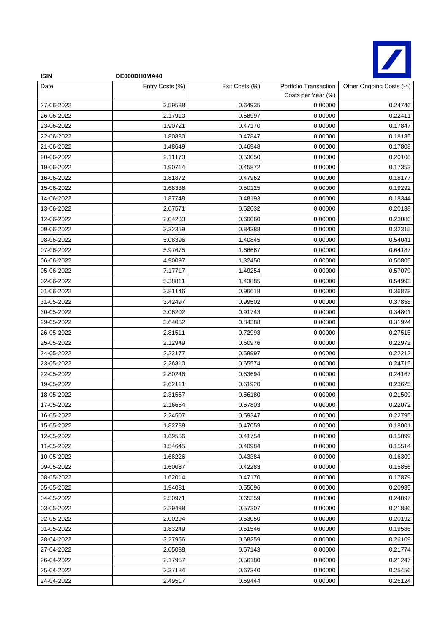

| <b>ISIN</b> | DE000DH0MA40    |                |                                             |                         |
|-------------|-----------------|----------------|---------------------------------------------|-------------------------|
| Date        | Entry Costs (%) | Exit Costs (%) | Portfolio Transaction<br>Costs per Year (%) | Other Ongoing Costs (%) |
| 27-06-2022  | 2.59588         | 0.64935        | 0.00000                                     | 0.24746                 |
| 26-06-2022  | 2.17910         | 0.58997        | 0.00000                                     | 0.22411                 |
| 23-06-2022  | 1.90721         | 0.47170        | 0.00000                                     | 0.17847                 |
| 22-06-2022  | 1.80880         | 0.47847        | 0.00000                                     | 0.18185                 |
| 21-06-2022  | 1.48649         | 0.46948        | 0.00000                                     | 0.17808                 |
| 20-06-2022  | 2.11173         | 0.53050        | 0.00000                                     | 0.20108                 |
| 19-06-2022  | 1.90714         | 0.45872        | 0.00000                                     | 0.17353                 |
| 16-06-2022  | 1.81872         | 0.47962        | 0.00000                                     | 0.18177                 |
| 15-06-2022  | 1.68336         | 0.50125        | 0.00000                                     | 0.19292                 |
| 14-06-2022  | 1.87748         | 0.48193        | 0.00000                                     | 0.18344                 |
| 13-06-2022  | 2.07571         | 0.52632        | 0.00000                                     | 0.20138                 |
| 12-06-2022  | 2.04233         | 0.60060        | 0.00000                                     | 0.23086                 |
| 09-06-2022  | 3.32359         | 0.84388        | 0.00000                                     | 0.32315                 |
| 08-06-2022  | 5.08396         | 1.40845        | 0.00000                                     | 0.54041                 |
| 07-06-2022  | 5.97675         | 1.66667        | 0.00000                                     | 0.64187                 |
| 06-06-2022  | 4.90097         | 1.32450        | 0.00000                                     | 0.50805                 |
| 05-06-2022  | 7.17717         | 1.49254        | 0.00000                                     | 0.57079                 |
| 02-06-2022  | 5.38811         | 1.43885        | 0.00000                                     | 0.54993                 |
| 01-06-2022  | 3.81146         | 0.96618        | 0.00000                                     | 0.36878                 |
| 31-05-2022  | 3.42497         | 0.99502        | 0.00000                                     | 0.37858                 |
| 30-05-2022  | 3.06202         | 0.91743        | 0.00000                                     | 0.34801                 |
| 29-05-2022  | 3.64052         | 0.84388        | 0.00000                                     | 0.31924                 |
| 26-05-2022  | 2.81511         | 0.72993        | 0.00000                                     | 0.27515                 |
| 25-05-2022  | 2.12949         | 0.60976        | 0.00000                                     | 0.22972                 |
| 24-05-2022  | 2.22177         | 0.58997        | 0.00000                                     | 0.22212                 |
| 23-05-2022  | 2.26810         | 0.65574        | 0.00000                                     | 0.24715                 |
| 22-05-2022  | 2.80246         | 0.63694        | 0.00000                                     | 0.24167                 |
| 19-05-2022  | 2.62111         | 0.61920        | 0.00000                                     | 0.23625                 |
| 18-05-2022  | 2.31557         | 0.56180        | 0.00000                                     | 0.21509                 |
| 17-05-2022  | 2.16664         | 0.57803        | 0.00000                                     | 0.22072                 |
| 16-05-2022  | 2.24507         | 0.59347        | 0.00000                                     | 0.22795                 |
| 15-05-2022  | 1.82788         | 0.47059        | 0.00000                                     | 0.18001                 |
| 12-05-2022  | 1.69556         | 0.41754        | 0.00000                                     | 0.15899                 |
| 11-05-2022  | 1.54645         | 0.40984        | 0.00000                                     | 0.15514                 |
| 10-05-2022  | 1.68226         | 0.43384        | 0.00000                                     | 0.16309                 |
| 09-05-2022  | 1.60087         | 0.42283        | 0.00000                                     | 0.15856                 |
| 08-05-2022  | 1.62014         | 0.47170        | 0.00000                                     | 0.17879                 |
| 05-05-2022  | 1.94081         | 0.55096        | 0.00000                                     | 0.20935                 |
| 04-05-2022  | 2.50971         | 0.65359        | 0.00000                                     | 0.24897                 |
| 03-05-2022  | 2.29488         | 0.57307        | 0.00000                                     | 0.21886                 |
| 02-05-2022  | 2.00294         | 0.53050        | 0.00000                                     | 0.20192                 |
| 01-05-2022  | 1.83249         | 0.51546        | 0.00000                                     | 0.19586                 |
| 28-04-2022  | 3.27956         | 0.68259        | 0.00000                                     | 0.26109                 |
| 27-04-2022  | 2.05088         | 0.57143        | 0.00000                                     | 0.21774                 |
| 26-04-2022  | 2.17957         | 0.56180        | 0.00000                                     | 0.21247                 |
| 25-04-2022  | 2.37184         | 0.67340        | 0.00000                                     | 0.25456                 |
| 24-04-2022  | 2.49517         | 0.69444        | 0.00000                                     | 0.26124                 |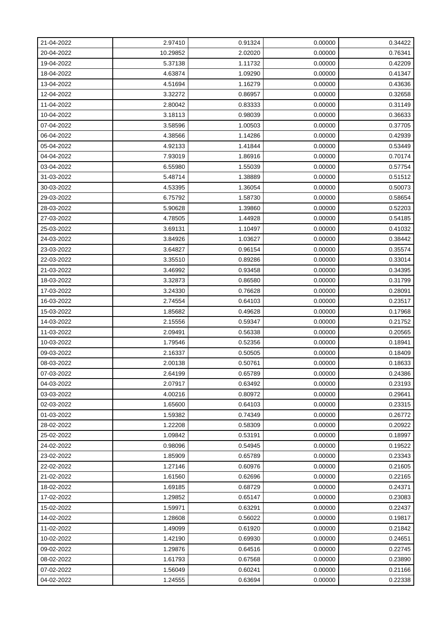| 21-04-2022 | 2.97410  | 0.91324 | 0.00000 | 0.34422 |
|------------|----------|---------|---------|---------|
| 20-04-2022 | 10.29852 | 2.02020 | 0.00000 | 0.76341 |
| 19-04-2022 | 5.37138  | 1.11732 | 0.00000 | 0.42209 |
| 18-04-2022 | 4.63874  | 1.09290 | 0.00000 | 0.41347 |
| 13-04-2022 | 4.51694  | 1.16279 | 0.00000 | 0.43636 |
| 12-04-2022 | 3.32272  | 0.86957 | 0.00000 | 0.32658 |
| 11-04-2022 | 2.80042  | 0.83333 | 0.00000 | 0.31149 |
| 10-04-2022 | 3.18113  | 0.98039 | 0.00000 | 0.36633 |
| 07-04-2022 | 3.58596  | 1.00503 | 0.00000 | 0.37705 |
| 06-04-2022 | 4.38566  | 1.14286 | 0.00000 | 0.42939 |
| 05-04-2022 | 4.92133  | 1.41844 | 0.00000 | 0.53449 |
| 04-04-2022 | 7.93019  | 1.86916 | 0.00000 | 0.70174 |
| 03-04-2022 | 6.55980  | 1.55039 | 0.00000 | 0.57754 |
| 31-03-2022 | 5.48714  | 1.38889 | 0.00000 | 0.51512 |
| 30-03-2022 | 4.53395  | 1.36054 | 0.00000 | 0.50073 |
| 29-03-2022 | 6.75792  | 1.58730 | 0.00000 | 0.58654 |
| 28-03-2022 | 5.90628  | 1.39860 | 0.00000 | 0.52203 |
| 27-03-2022 | 4.78505  | 1.44928 | 0.00000 | 0.54185 |
| 25-03-2022 | 3.69131  | 1.10497 | 0.00000 | 0.41032 |
| 24-03-2022 | 3.84926  | 1.03627 | 0.00000 | 0.38442 |
| 23-03-2022 | 3.64827  | 0.96154 | 0.00000 | 0.35574 |
| 22-03-2022 | 3.35510  | 0.89286 | 0.00000 | 0.33014 |
| 21-03-2022 | 3.46992  | 0.93458 | 0.00000 | 0.34395 |
| 18-03-2022 | 3.32873  | 0.86580 | 0.00000 | 0.31799 |
| 17-03-2022 | 3.24330  | 0.76628 | 0.00000 | 0.28091 |
| 16-03-2022 | 2.74554  | 0.64103 | 0.00000 | 0.23517 |
| 15-03-2022 | 1.85682  | 0.49628 | 0.00000 | 0.17968 |
| 14-03-2022 | 2.15556  | 0.59347 | 0.00000 | 0.21752 |
| 11-03-2022 | 2.09491  | 0.56338 | 0.00000 | 0.20565 |
| 10-03-2022 | 1.79546  | 0.52356 | 0.00000 | 0.18941 |
| 09-03-2022 | 2.16337  | 0.50505 | 0.00000 | 0.18409 |
| 08-03-2022 | 2.00138  | 0.50761 | 0.00000 | 0.18633 |
| 07-03-2022 | 2.64199  | 0.65789 | 0.00000 | 0.24386 |
| 04-03-2022 | 2.07917  | 0.63492 | 0.00000 | 0.23193 |
| 03-03-2022 | 4.00216  | 0.80972 | 0.00000 | 0.29641 |
| 02-03-2022 | 1.65600  | 0.64103 | 0.00000 | 0.23315 |
| 01-03-2022 | 1.59382  | 0.74349 | 0.00000 | 0.26772 |
| 28-02-2022 | 1.22208  | 0.58309 | 0.00000 | 0.20922 |
| 25-02-2022 | 1.09842  | 0.53191 | 0.00000 | 0.18997 |
| 24-02-2022 | 0.98096  | 0.54945 | 0.00000 | 0.19522 |
| 23-02-2022 | 1.85909  | 0.65789 | 0.00000 | 0.23343 |
| 22-02-2022 | 1.27146  | 0.60976 | 0.00000 | 0.21605 |
| 21-02-2022 | 1.61560  | 0.62696 | 0.00000 | 0.22165 |
| 18-02-2022 | 1.69185  | 0.68729 | 0.00000 | 0.24371 |
| 17-02-2022 | 1.29852  | 0.65147 | 0.00000 | 0.23083 |
| 15-02-2022 | 1.59971  | 0.63291 | 0.00000 | 0.22437 |
| 14-02-2022 | 1.28608  | 0.56022 | 0.00000 | 0.19817 |
| 11-02-2022 | 1.49099  | 0.61920 | 0.00000 | 0.21842 |
| 10-02-2022 | 1.42190  | 0.69930 | 0.00000 | 0.24651 |
| 09-02-2022 | 1.29876  | 0.64516 | 0.00000 | 0.22745 |
| 08-02-2022 | 1.61793  | 0.67568 | 0.00000 | 0.23890 |
| 07-02-2022 | 1.56049  | 0.60241 | 0.00000 | 0.21166 |
| 04-02-2022 | 1.24555  | 0.63694 | 0.00000 | 0.22338 |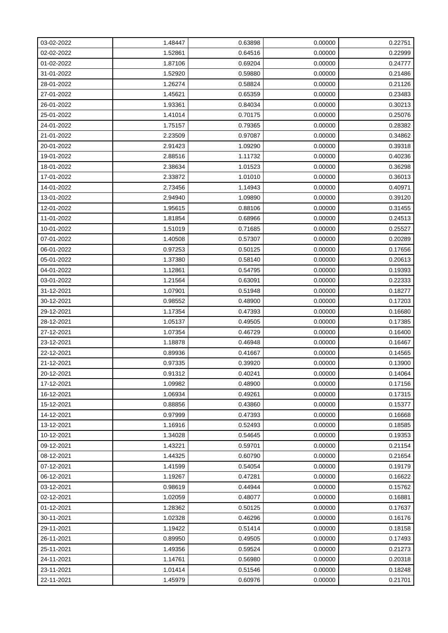| 03-02-2022 | 1.48447 | 0.63898 | 0.00000 | 0.22751 |
|------------|---------|---------|---------|---------|
| 02-02-2022 | 1.52861 | 0.64516 | 0.00000 | 0.22999 |
| 01-02-2022 | 1.87106 | 0.69204 | 0.00000 | 0.24777 |
| 31-01-2022 | 1.52920 | 0.59880 | 0.00000 | 0.21486 |
| 28-01-2022 | 1.26274 | 0.58824 | 0.00000 | 0.21126 |
| 27-01-2022 | 1.45621 | 0.65359 | 0.00000 | 0.23483 |
| 26-01-2022 | 1.93361 | 0.84034 | 0.00000 | 0.30213 |
| 25-01-2022 | 1.41014 | 0.70175 | 0.00000 | 0.25076 |
| 24-01-2022 | 1.75157 | 0.79365 | 0.00000 | 0.28382 |
| 21-01-2022 | 2.23509 | 0.97087 | 0.00000 | 0.34862 |
| 20-01-2022 | 2.91423 | 1.09290 | 0.00000 | 0.39318 |
| 19-01-2022 | 2.88516 | 1.11732 | 0.00000 | 0.40236 |
| 18-01-2022 | 2.38634 | 1.01523 | 0.00000 | 0.36298 |
| 17-01-2022 | 2.33872 | 1.01010 | 0.00000 | 0.36013 |
| 14-01-2022 | 2.73456 | 1.14943 | 0.00000 | 0.40971 |
| 13-01-2022 | 2.94940 | 1.09890 | 0.00000 | 0.39120 |
| 12-01-2022 | 1.95615 | 0.88106 | 0.00000 | 0.31455 |
| 11-01-2022 | 1.81854 | 0.68966 | 0.00000 | 0.24513 |
| 10-01-2022 | 1.51019 | 0.71685 | 0.00000 | 0.25527 |
| 07-01-2022 | 1.40508 | 0.57307 | 0.00000 | 0.20289 |
| 06-01-2022 | 0.97253 | 0.50125 | 0.00000 | 0.17656 |
| 05-01-2022 | 1.37380 | 0.58140 | 0.00000 | 0.20613 |
| 04-01-2022 | 1.12861 | 0.54795 | 0.00000 | 0.19393 |
| 03-01-2022 | 1.21564 | 0.63091 | 0.00000 | 0.22333 |
| 31-12-2021 | 1.07901 | 0.51948 | 0.00000 | 0.18277 |
| 30-12-2021 | 0.98552 | 0.48900 | 0.00000 | 0.17203 |
| 29-12-2021 | 1.17354 | 0.47393 | 0.00000 | 0.16680 |
| 28-12-2021 | 1.05137 | 0.49505 | 0.00000 | 0.17385 |
| 27-12-2021 | 1.07354 | 0.46729 | 0.00000 | 0.16400 |
| 23-12-2021 | 1.18878 | 0.46948 | 0.00000 | 0.16467 |
| 22-12-2021 | 0.89936 | 0.41667 | 0.00000 | 0.14565 |
| 21-12-2021 | 0.97335 | 0.39920 | 0.00000 | 0.13900 |
| 20-12-2021 | 0.91312 | 0.40241 | 0.00000 | 0.14064 |
| 17-12-2021 | 1.09982 | 0.48900 | 0.00000 | 0.17156 |
| 16-12-2021 | 1.06934 | 0.49261 | 0.00000 | 0.17315 |
| 15-12-2021 | 0.88856 | 0.43860 | 0.00000 | 0.15377 |
| 14-12-2021 | 0.97999 | 0.47393 | 0.00000 | 0.16668 |
| 13-12-2021 | 1.16916 | 0.52493 | 0.00000 | 0.18585 |
| 10-12-2021 | 1.34028 | 0.54645 | 0.00000 | 0.19353 |
| 09-12-2021 | 1.43221 | 0.59701 | 0.00000 | 0.21154 |
| 08-12-2021 | 1.44325 | 0.60790 | 0.00000 | 0.21654 |
| 07-12-2021 | 1.41599 | 0.54054 | 0.00000 | 0.19179 |
| 06-12-2021 | 1.19267 | 0.47281 | 0.00000 | 0.16622 |
| 03-12-2021 | 0.98619 | 0.44944 | 0.00000 | 0.15762 |
| 02-12-2021 | 1.02059 | 0.48077 | 0.00000 | 0.16881 |
| 01-12-2021 | 1.28362 | 0.50125 | 0.00000 | 0.17637 |
| 30-11-2021 | 1.02328 | 0.46296 | 0.00000 | 0.16176 |
| 29-11-2021 | 1.19422 | 0.51414 | 0.00000 | 0.18158 |
| 26-11-2021 | 0.89950 | 0.49505 | 0.00000 | 0.17493 |
| 25-11-2021 | 1.49356 | 0.59524 | 0.00000 | 0.21273 |
| 24-11-2021 | 1.14761 | 0.56980 | 0.00000 | 0.20318 |
| 23-11-2021 | 1.01414 | 0.51546 | 0.00000 | 0.18248 |
| 22-11-2021 | 1.45979 | 0.60976 | 0.00000 | 0.21701 |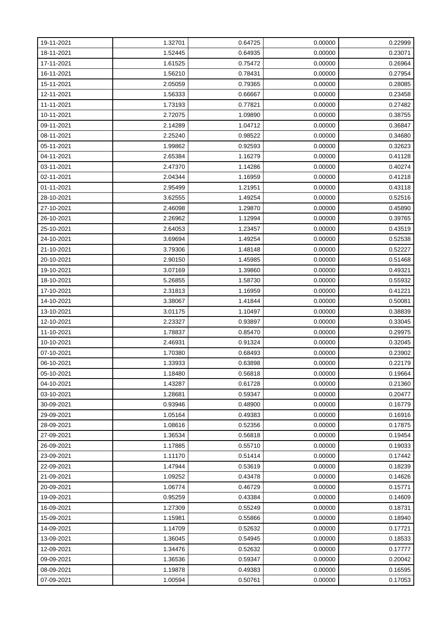| 19-11-2021 | 1.32701 | 0.64725 | 0.00000 | 0.22999 |
|------------|---------|---------|---------|---------|
| 18-11-2021 | 1.52445 | 0.64935 | 0.00000 | 0.23071 |
| 17-11-2021 | 1.61525 | 0.75472 | 0.00000 | 0.26964 |
| 16-11-2021 | 1.56210 | 0.78431 | 0.00000 | 0.27954 |
| 15-11-2021 | 2.05059 | 0.79365 | 0.00000 | 0.28085 |
| 12-11-2021 | 1.56333 | 0.66667 | 0.00000 | 0.23458 |
| 11-11-2021 | 1.73193 | 0.77821 | 0.00000 | 0.27482 |
| 10-11-2021 | 2.72075 | 1.09890 | 0.00000 | 0.38755 |
| 09-11-2021 | 2.14289 | 1.04712 | 0.00000 | 0.36847 |
| 08-11-2021 | 2.25240 | 0.98522 | 0.00000 | 0.34680 |
| 05-11-2021 | 1.99862 | 0.92593 | 0.00000 | 0.32623 |
| 04-11-2021 | 2.65384 | 1.16279 | 0.00000 | 0.41128 |
| 03-11-2021 | 2.47370 | 1.14286 | 0.00000 | 0.40274 |
| 02-11-2021 | 2.04344 | 1.16959 | 0.00000 | 0.41218 |
| 01-11-2021 | 2.95499 | 1.21951 | 0.00000 | 0.43118 |
| 28-10-2021 | 3.62555 | 1.49254 | 0.00000 | 0.52516 |
| 27-10-2021 | 2.46098 | 1.29870 | 0.00000 | 0.45890 |
| 26-10-2021 | 2.26962 | 1.12994 | 0.00000 | 0.39765 |
| 25-10-2021 | 2.64053 | 1.23457 | 0.00000 | 0.43519 |
| 24-10-2021 | 3.69694 | 1.49254 | 0.00000 | 0.52538 |
| 21-10-2021 | 3.79306 | 1.48148 | 0.00000 | 0.52227 |
| 20-10-2021 | 2.90150 | 1.45985 | 0.00000 | 0.51468 |
| 19-10-2021 | 3.07169 | 1.39860 | 0.00000 | 0.49321 |
| 18-10-2021 | 5.26855 | 1.58730 | 0.00000 | 0.55932 |
| 17-10-2021 | 2.31813 | 1.16959 | 0.00000 | 0.41221 |
| 14-10-2021 | 3.38067 | 1.41844 | 0.00000 | 0.50081 |
| 13-10-2021 | 3.01175 | 1.10497 | 0.00000 | 0.38839 |
| 12-10-2021 | 2.23327 | 0.93897 | 0.00000 | 0.33045 |
| 11-10-2021 | 1.78837 | 0.85470 | 0.00000 | 0.29975 |
| 10-10-2021 | 2.46931 | 0.91324 | 0.00000 | 0.32045 |
| 07-10-2021 | 1.70380 | 0.68493 | 0.00000 | 0.23902 |
| 06-10-2021 | 1.33933 | 0.63898 | 0.00000 | 0.22179 |
| 05-10-2021 | 1.18480 | 0.56818 | 0.00000 | 0.19664 |
| 04-10-2021 | 1.43287 | 0.61728 | 0.00000 | 0.21360 |
| 03-10-2021 | 1.28681 | 0.59347 | 0.00000 | 0.20477 |
| 30-09-2021 | 0.93946 | 0.48900 | 0.00000 | 0.16779 |
| 29-09-2021 | 1.05164 | 0.49383 | 0.00000 | 0.16916 |
| 28-09-2021 | 1.08616 | 0.52356 | 0.00000 | 0.17875 |
| 27-09-2021 | 1.36534 | 0.56818 | 0.00000 | 0.19454 |
| 26-09-2021 | 1.17885 | 0.55710 | 0.00000 | 0.19033 |
| 23-09-2021 | 1.11170 | 0.51414 | 0.00000 | 0.17442 |
| 22-09-2021 | 1.47944 | 0.53619 | 0.00000 | 0.18239 |
| 21-09-2021 | 1.09252 | 0.43478 | 0.00000 | 0.14626 |
| 20-09-2021 | 1.06774 | 0.46729 | 0.00000 | 0.15771 |
| 19-09-2021 | 0.95259 | 0.43384 | 0.00000 | 0.14609 |
| 16-09-2021 | 1.27309 | 0.55249 | 0.00000 | 0.18731 |
| 15-09-2021 | 1.15981 | 0.55866 | 0.00000 | 0.18940 |
| 14-09-2021 | 1.14709 | 0.52632 | 0.00000 | 0.17721 |
| 13-09-2021 | 1.36045 | 0.54945 | 0.00000 | 0.18533 |
| 12-09-2021 | 1.34476 | 0.52632 | 0.00000 | 0.17777 |
| 09-09-2021 | 1.36536 | 0.59347 | 0.00000 | 0.20042 |
| 08-09-2021 | 1.19878 | 0.49383 | 0.00000 | 0.16595 |
| 07-09-2021 | 1.00594 | 0.50761 | 0.00000 | 0.17053 |